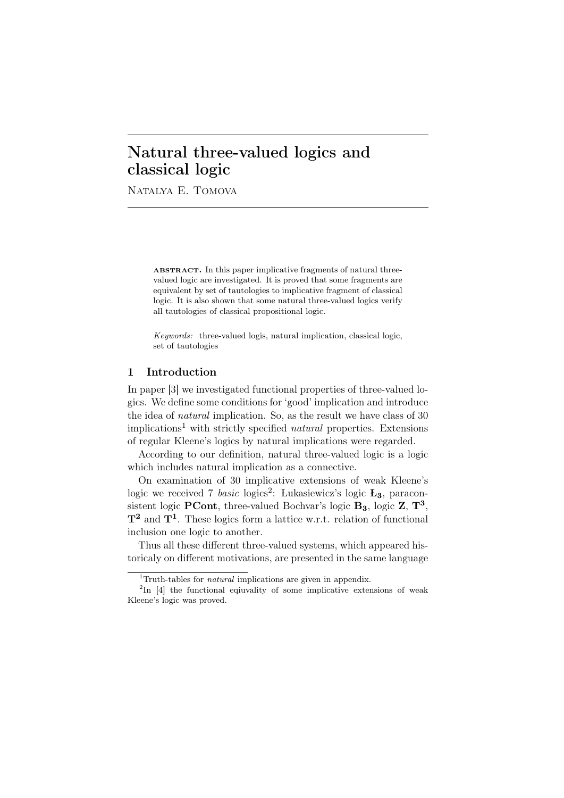# Natural three-valued logics and classical logic

Natalya E. Tomova

ABSTRACT. In this paper implicative fragments of natural threevalued logic are investigated. It is proved that some fragments are equivalent by set of tautologies to implicative fragment of classical logic. It is also shown that some natural three-valued logics verify all tautologies of classical propositional logic.

*Keywords:* three-valued logis, natural implication, classical logic, set of tautologies

### 1 Introduction

In paper [3] we investigated functional properties of three-valued logics. We define some conditions for 'good' implication and introduce the idea of *natural* implication. So, as the result we have class of 30 implications<sup>1</sup> with strictly specified *natural* properties. Extensions of regular Kleene's logics by natural implications were regarded.

According to our definition, natural three-valued logic is a logic which includes natural implication as a connective.

On examination of 30 implicative extensions of weak Kleene's logic we received 7 *basic* logics<sup>2</sup> : Lukasiewicz's logic **L3**, paraconsistent logic PCont, three-valued Bochvar's logic **B3**, logic Z, **T<sup>3</sup>** , **T<sup>2</sup>** and **T<sup>1</sup>** . These logics form a lattice w.r.t. relation of functional inclusion one logic to another.

Thus all these different three-valued systems, which appeared historicaly on different motivations, are presented in the same language

<sup>&</sup>lt;sup>1</sup>Truth-tables for *natural* implications are given in appendix.

<sup>&</sup>lt;sup>2</sup>In [4] the functional eqiuvality of some implicative extensions of weak Kleene's logic was proved.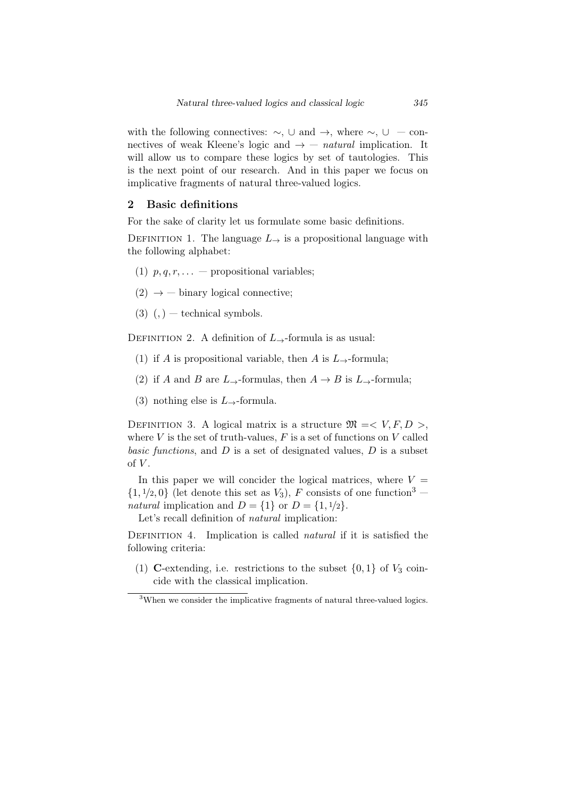with the following connectives: *∼*, *∪* and *→*, where *∼*, *∪* — connectives of weak Kleene's logic and  $\rightarrow -$  *natural* implication. It will allow us to compare these logics by set of tautologies. This is the next point of our research. And in this paper we focus on implicative fragments of natural three-valued logics.

# 2 Basic definitions

For the sake of clarity let us formulate some basic definitions.

DEFINITION 1. The language  $L_{\rightarrow}$  is a propositional language with the following alphabet:

- (1)  $p, q, r, \ldots$  propositional variables;
- $(2) \rightarrow -$  binary logical connective;
- $(3)$   $(,)$  technical symbols.

Definition 2. A definition of *L→*-formula is as usual:

- (1) if *A* is propositional variable, then *A* is  $L_{\rightarrow}$ -formula;
- (2) if *A* and *B* are  $L\rightarrow$ -formulas, then  $A \rightarrow B$  is  $L\rightarrow$ -formula;
- (3) nothing else is *L→*-formula.

DEFINITION 3. A logical matrix is a structure  $\mathfrak{M} = \langle V, F, D \rangle$ , where  $V$  is the set of truth-values,  $F$  is a set of functions on  $V$  called *basic functions*, and *D* is a set of designated values, *D* is a subset of *V* .

In this paper we will concider the logical matrices, where  $V =$  $\{1, \frac{1}{2}, 0\}$  (let denote this set as *V*<sub>3</sub>), *F* consists of one function<sup>3</sup> *natural* implication and  $D = \{1\}$  or  $D = \{1, \frac{1}{2}\}.$ 

Let's recall definition of *natural* implication:

DEFINITION 4. Implication is called *natural* if it is satisfied the following criteria:

(1) C-extending, i.e. restrictions to the subset  $\{0,1\}$  of  $V_3$  coincide with the classical implication.

<sup>&</sup>lt;sup>3</sup>When we consider the implicative fragments of natural three-valued logics.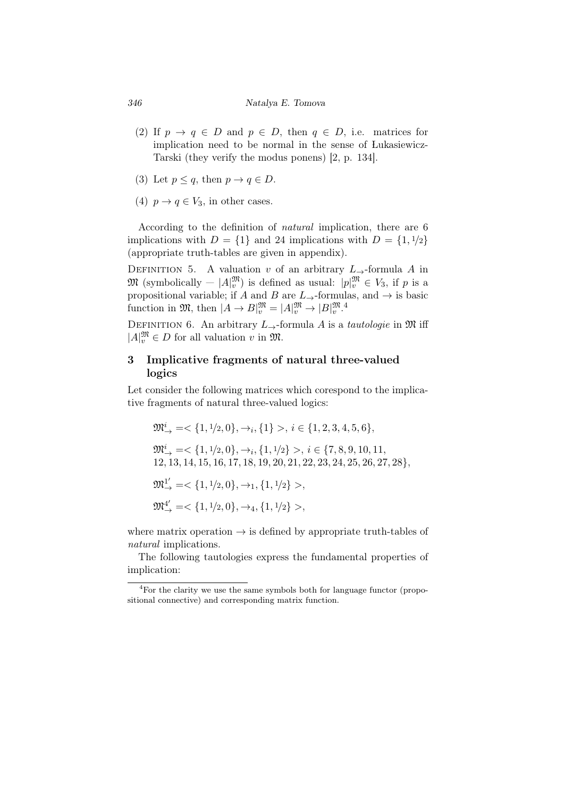#### *346 Natalya E. Tomova*

- (2) If  $p \rightarrow q \in D$  and  $p \in D$ , then  $q \in D$ , i.e. matrices for implication need to be normal in the sense of Lukasiewicz-Tarski (they verify the modus ponens) [2, p. 134].
- (3) Let  $p \leq q$ , then  $p \to q \in D$ .
- (4)  $p \rightarrow q \in V_3$ , in other cases.

According to the definition of *natural* implication, there are 6 implications with  $D = \{1\}$  and 24 implications with  $D = \{1, \frac{1}{2}\}$ (appropriate truth-tables are given in appendix).

DEFINITION 5. A valuation *v* of an arbitrary  $L \rightarrow$ -formula *A* in  $\mathfrak{M}$  (symbolically  $|A|_v^{\mathfrak{M}}$ ) is defined as usual:  $|p|_v^{\mathfrak{M}} \in V_3$ , if  $p$  is a propositional variable; if *A* and *B* are  $L_{\rightarrow}$ -formulas, and  $\rightarrow$  is basic function in  $\mathfrak{M}$ , then  $|A \to B|_v^{\mathfrak{M}} = |A|_v^{\mathfrak{M}} \to |B|_v^{\mathfrak{M}}.$ <sup>4</sup>

DEFINITION 6. An arbitrary  $L_{\rightarrow}$ -formula *A* is a *tautologie* in  $\mathfrak{M}$  iff  $|A|_v^{\mathfrak{M}}$  ∈ *D* for all valuation *v* in  $\mathfrak{M}$ .

# 3 Implicative fragments of natural three-valued logics

Let consider the following matrices which corespond to the implicative fragments of natural three-valued logics:

$$
\begin{aligned} &\mathfrak{M}_{\rightarrow}^{i}=<\{1,1/2,0\},\rightarrow_{i},\{1\}>,\ i\in\{1,2,3,4,5,6\},\\ &\mathfrak{M}_{\rightarrow}^{i}=<\{1,1/2,0\},\rightarrow_{i},\{1,1/2\}>,\ i\in\{7,8,9,10,11,\\ &12,13,14,15,16,17,18,19,20,21,22,23,24,25,26,27,28\},\\ &\mathfrak{M}_{\rightarrow}^{1'}=<\{1,1/2,0\},\rightarrow_{1},\{1,1/2\}>,\\ &\mathfrak{M}_{\rightarrow}^{4'}=<\{1,1/2,0\},\rightarrow_{4},\{1,1/2\}>, \end{aligned}
$$

where matrix operation *→* is defined by appropriate truth-tables of *natural* implications.

The following tautologies express the fundamental properties of implication:

<sup>4</sup>For the clarity we use the same symbols both for language functor (propositional connective) and corresponding matrix function.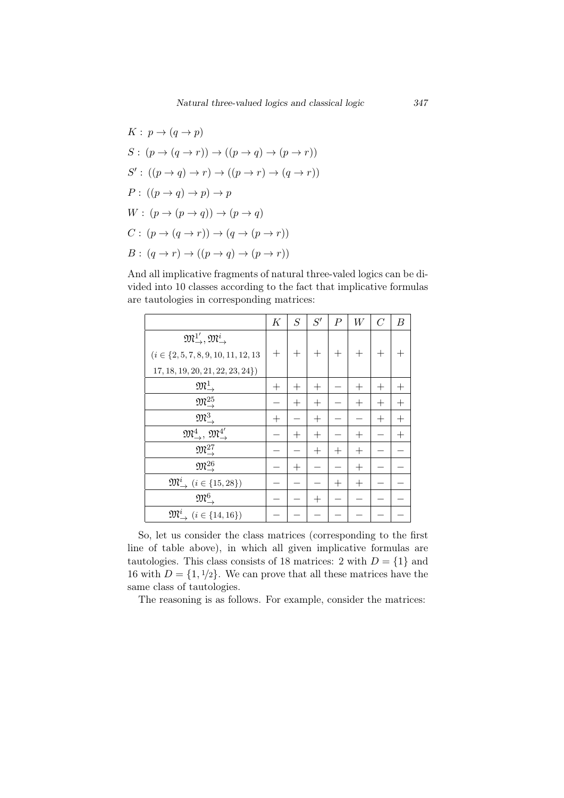$$
K: p \to (q \to p)
$$
  
\n
$$
S: (p \to (q \to r)) \to ((p \to q) \to (p \to r))
$$
  
\n
$$
S': ((p \to q) \to r) \to ((p \to r) \to (q \to r))
$$
  
\n
$$
P: ((p \to q) \to p) \to p
$$
  
\n
$$
W: (p \to (p \to q)) \to (p \to q)
$$
  
\n
$$
C: (p \to (q \to r)) \to (q \to (p \to r))
$$
  
\n
$$
B: (q \to r) \to ((p \to q) \to (p \to r))
$$

And all implicative fragments of natural three-valed logics can be divided into 10 classes according to the fact that implicative formulas are tautologies in corresponding matrices:

|                                                                   | K            | $\overline{S}$ | S'           | $\boldsymbol{P}$ | W            | $\overline{C}$ | $\boldsymbol{B}$ |
|-------------------------------------------------------------------|--------------|----------------|--------------|------------------|--------------|----------------|------------------|
| $\mathfrak{M}^{1'}_{\rightarrow}, \mathfrak{M}^{i}_{\rightarrow}$ |              |                |              |                  |              |                |                  |
| $(i \in \{2, 5, 7, 8, 9, 10, 11, 12, 13$                          | $^+$         | $\pm$          | $^{+}$       | $^{+}$           | $^{+}$       | $^{+}$         |                  |
| 17, 18, 19, 20, 21, 22, 23, 24                                    |              |                |              |                  |              |                |                  |
| $\mathfrak{M}^1_{\rightarrow}$                                    | $^{+}$       | $\, + \,$      | $\pm$        |                  | $\, +$       | $\mathrm{+}$   |                  |
| $\mathfrak{M}_{\rightarrow}^{25}$                                 |              | $^{+}$         | $\mathrm{+}$ |                  | $\mathrm{+}$ | $^{+}$         | $^{+}$           |
| $\mathfrak{M}^3_{\rightarrow}$                                    | $\mathrm{+}$ |                | $^{+}$       |                  |              | $^{+}$         | $^{+}$           |
| $\mathfrak{M}^4_\rightarrow$ , $\mathfrak{M}^{4'}_\rightarrow$    |              | $^{+}$         | $^{+}$       |                  | $^{+}$       |                | $^+$             |
| $\mathfrak{M}_{\rightharpoonup}^{27}$                             |              |                | $^{+}$       | $^{+}$           | $^{+}$       |                |                  |
| $\mathfrak{M}^{26}_{\rightarrow}$                                 |              | $^{+}$         |              |                  | $\mathrm{+}$ |                |                  |
| $\mathfrak{M}^i_{\rightarrow}$ $(i \in \{15, 28\})$               |              |                |              | $^{+}$           | $^{+}$       |                |                  |
| $\mathfrak{M}^6_{\rightarrow}$                                    |              |                | $\,+\,$      |                  |              |                |                  |
| $\mathfrak{M}^i_{\rightarrow}$ $(i \in \{14, 16\})$               |              |                |              |                  |              |                |                  |

So, let us consider the class matrices (corresponding to the first line of table above), in which all given implicative formulas are tautologies. This class consists of 18 matrices: 2 with  $D = \{1\}$  and 16 with  $D = \{1, \frac{1}{2}\}$ . We can prove that all these matrices have the same class of tautologies.

The reasoning is as follows. For example, consider the matrices: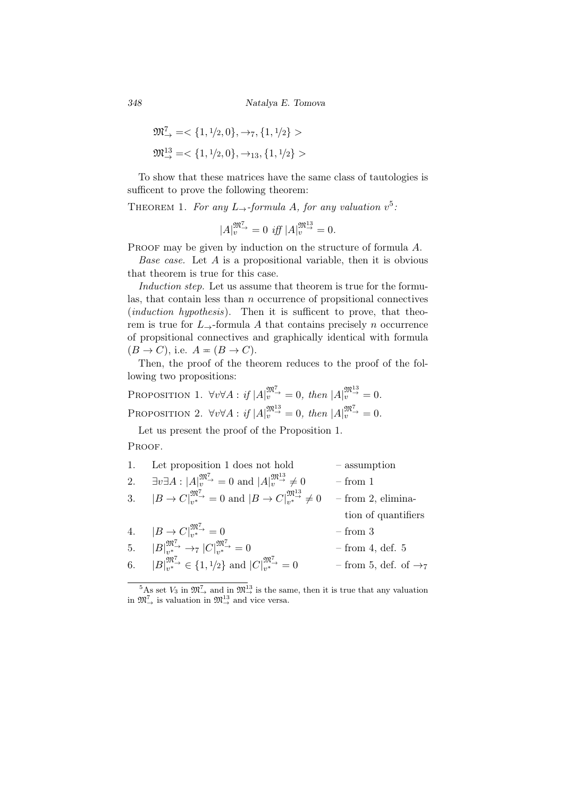*348 Natalya E. Tomova*

$$
\mathfrak{M}^7_{\rightarrow} = <\{1, 1/2, 0\}, \rightarrow_7, \{1, 1/2\} >
$$
  

$$
\mathfrak{M}^{13}_{\rightarrow} = <\{1, 1/2, 0\}, \rightarrow_{13}, \{1, 1/2\} >
$$

To show that these matrices have the same class of tautologies is sufficent to prove the following theorem:

THEOREM 1. For any  $L_{\rightarrow}$ -formula A, for any valuation  $v^5$ .

$$
|A|_v^{\mathfrak{M}^7_{\rightarrow}} = 0 \text{ iff } |A|_v^{\mathfrak{M}^{13}_{\rightarrow}} = 0.
$$

PROOF may be given by induction on the structure of formula A.

*Base case.* Let *A* is a propositional variable, then it is obvious that theorem is true for this case.

*Induction step.* Let us assume that theorem is true for the formulas, that contain less than *n* occurrence of propsitional connectives (*induction hypothesis*). Then it is sufficent to prove, that theorem is true for  $L_{\rightarrow}$ -formula A that contains precisely *n* occurrence of propsitional connectives and graphically identical with formula  $(B \to C)$ , i.e.  $A = (B \to C)$ .

Then, the proof of the theorem reduces to the proof of the following two propositions:

PROPOSITION 1. 
$$
\forall v \forall A : if |A|_v^{\mathfrak{M}^{\mathcal{T}}_{\rightarrow}} = 0
$$
, then  $|A|_v^{\mathfrak{M}^{\mathcal{Y}}_{\rightarrow}} = 0$ .  
PROPOSITION 2.  $\forall v \forall A : if |A|_v^{\mathfrak{M}^{\mathcal{Y}}_{\rightarrow}} = 0$ , then  $|A|_v^{\mathfrak{M}^{\mathcal{T}}_{\rightarrow}} = 0$ .

Let us present the proof of the Proposition 1.

Proof.

| 1. | Let proposition 1 does not hold                                                                                                                          | - assumption                    |
|----|----------------------------------------------------------------------------------------------------------------------------------------------------------|---------------------------------|
| 2. | $\exists v \exists A :  A _v^{\mathfrak{M}^{\mathcal{T}}_{\rightarrow}} = 0$ and $ A _v^{\mathfrak{M}^{\mathfrak{U}^{\mathcal{T}}_{\rightarrow}} \neq 0$ | $-$ from $1$                    |
|    | 3. $ B \to C _{v^*}^{\mathfrak{M}^{\mathcal{I}}}\to 0$ and $ B \to C _{v^*}^{\mathfrak{M}^{13}_{\to}}\neq 0$                                             | $-$ from 2, elimina-            |
|    |                                                                                                                                                          | tion of quantifiers             |
|    | 4. $ B \to C _{\nu^*}^{\mathfrak{M}^7} = 0$                                                                                                              | $-$ from $3$                    |
|    | 5. $ B _{v^*}^{\mathfrak{M}^7} \rightarrow_{7}  C _{v^*}^{\mathfrak{M}^7} = 0$                                                                           | $-$ from 4, def. 5              |
|    | 6. $ B _{n^*}^{\mathfrak{M}^7} \in \{1, 1/2\}$ and $ C _{n^*}^{\mathfrak{M}^7} = 0$                                                                      | - from 5, def. of $\rightarrow$ |
|    |                                                                                                                                                          |                                 |

 $\frac{5}{4}$ As set  $V_3$  in  $\mathfrak{M}^7_\rightarrow$  and in  $\mathfrak{M}^{13}_\rightarrow$  is the same, then it is true that any valuation in  $\mathfrak{M}^7_\rightarrow$  is valuation in  $\mathfrak{M}^{13}_\rightarrow$  and vice versa.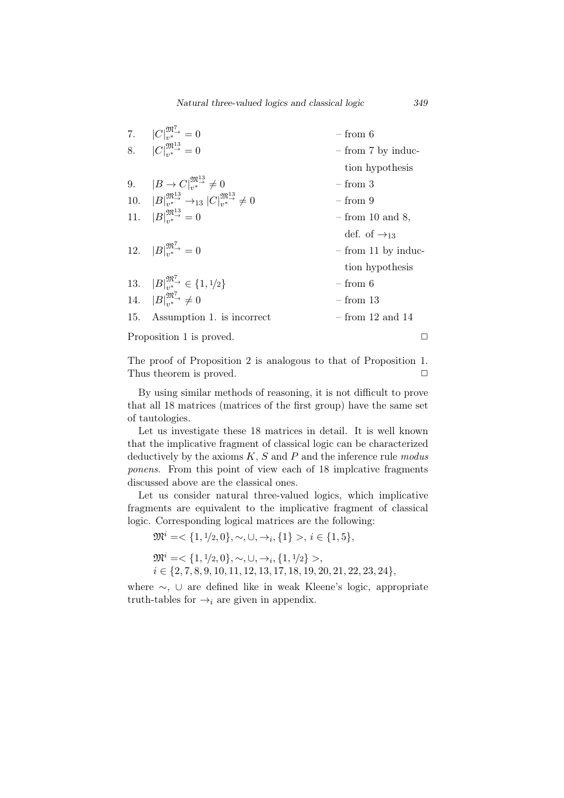|     | 7. $ C _{**}^{\mathfrak{M}^7_{**}}=0$                                                     | $-$ from 6               |
|-----|-------------------------------------------------------------------------------------------|--------------------------|
|     | 8. $ C _{**}^{\mathfrak{M}^{13}_{**}}=0$                                                  | - from 7 by induc-       |
|     |                                                                                           | tion hypothesis          |
|     | 9. $ B \to C _{**}^{\mathfrak{M}_{\to}^{13}} \neq 0$                                      | $-$ from $3$             |
|     | 10. $ B _{v^*}^{\mathfrak{M}^{13}} \rightarrow_{13}  C _{v^*}^{\mathfrak{M}^{13}} \neq 0$ | $-$ from 9               |
|     | 11. $ B _{\alpha*}^{\mathfrak{M}_{\alpha+}^{13}} = 0$                                     | $-$ from 10 and 8,       |
|     |                                                                                           | def. of $\rightarrow$ 13 |
|     | 12. $ B _{**}^{\mathfrak{M}^7_{**}}=0$                                                    | $-$ from 11 by induc-    |
|     |                                                                                           | tion hypothesis          |
|     | 13. $ B _{v^*}^{\mathfrak{M}^7} \in \{1, 1/2\}$                                           | $-$ from 6               |
|     | 14. $ B _{v^*}^{\mathfrak{M}^7} \neq 0$                                                   | $-$ from 13              |
| 15. | Assumption 1. is incorrect                                                                | $-$ from 12 and 14       |
|     | Proposition 1 is proved.                                                                  |                          |

The proof of Proposition 2 is analogous to that of Proposition 1. Thus theorem is proved. **□** 

By using similar methods of reasoning, it is not difficult to prove that all 18 matrices (matrices of the first group) have the same set of tautologies.

Let us investigate these 18 matrices in detail. It is well known that the implicative fragment of classical logic can be characterized deductively by the axioms *K*, *S* and *P* and the inference rule *modus ponens*. From this point of view each of 18 implcative fragments discussed above are the classical ones.

Let us consider natural three-valued logics, which implicative fragments are equivalent to the implicative fragment of classical logic. Corresponding logical matrices are the following:

 $\mathfrak{M}^i = \langle \{1, 1/2, 0\}, \sim, \cup, \rightarrow_i, \{1\} >, i \in \{1, 5\},\}$ 

 $\mathfrak{M}^i = \langle \{1, \frac{1}{2}, 0\}, \sim, \cup, \rightarrow_i, \{1, \frac{1}{2}\} \rangle$ 

*i ∈ {*2*,* 7*,* 8*,* 9*,* 10*,* 11*,* 12*,* 13*,* 17*,* 18*,* 19*,* 20*,* 21*,* 22*,* 23*,* 24*}*,

where *∼*, *∪* are defined like in weak Kleene's logic, appropriate truth-tables for  $\rightarrow_i$  are given in appendix.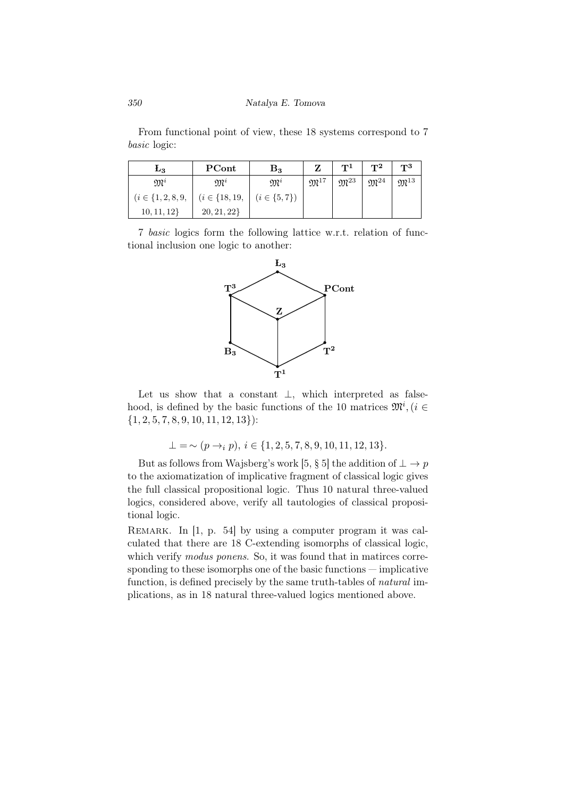From functional point of view, these 18 systems correspond to 7 *basic* logic:

| $L_3$                  | PCont                                    | $\rm B_3$        |                     | T <sup>1</sup>      | $\bf{T}^2$           | $T^3$               |
|------------------------|------------------------------------------|------------------|---------------------|---------------------|----------------------|---------------------|
| $\mathfrak{M}^i$       | $\mathfrak{M}^i$                         | $\mathfrak{M}^i$ | $\mathfrak{M}^{17}$ | $\mathfrak{M}^{23}$ | ${\mathfrak M}^{24}$ | $\mathfrak{M}^{13}$ |
| $(i \in \{1, 2, 8, 9,$ | $(i \in \{18, 19, \mid (i \in \{5, 7\})$ |                  |                     |                     |                      |                     |
| 10, 11, 12             | 20, 21, 22                               |                  |                     |                     |                      |                     |

7 *basic* logics form the following lattice w.r.t. relation of functional inclusion one logic to another:



Let us show that a constant *⊥*, which interpreted as falsehood, is defined by the basic functions of the 10 matrices  $\mathfrak{M}^i$ ,  $(i \in$ *{*1*,* 2*,* 5*,* 7*,* 8*,* 9*,* 10*,* 11*,* 12*,* 13*}*):

$$
\bot = \sim (p \rightarrow_i p), i \in \{1, 2, 5, 7, 8, 9, 10, 11, 12, 13\}.
$$

But as follows from Wajsberg's work [5, § 5] the addition of  $\perp \to p$ to the axiomatization of implicative fragment of classical logic gives the full classical propositional logic. Thus 10 natural three-valued logics, considered above, verify all tautologies of classical propositional logic.

REMARK. In [1, p. 54] by using a computer program it was calculated that there are 18 C-extending isomorphs of classical logic, which verify *modus ponens*. So, it was found that in matirces corresponding to these isomorphs one of the basic functions — implicative function, is defined precisely by the same truth-tables of *natural* implications, as in 18 natural three-valued logics mentioned above.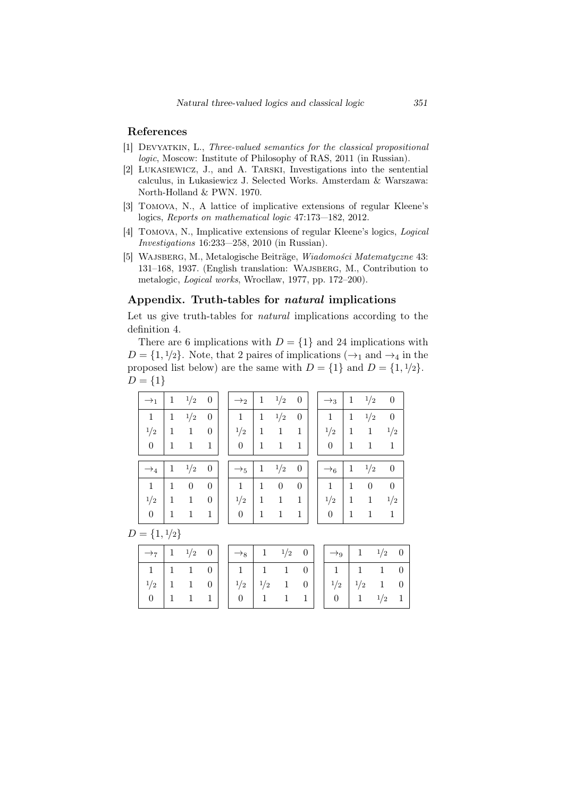# References

- [1] Devyatkin, L., *Three-valued semantics for the classical propositional logic*, Moscow: Institute of Philosophy of RAS, 2011 (in Russian).
- [2] Lukasiewicz, J., and A. Tarski, Investigations into the sentential calculus, in Lukasiewicz J. Selected Works. Amsterdam & Warszawa: North-Holland & PWN. 1970.
- [3] Tomova, N., A lattice of implicative extensions of regular Kleene's logics, *Reports on mathematical logic* 47:173—182, 2012.
- [4] Tomova, N., Implicative extensions of regular Kleene's logics, *Logical Investigations* 16:233—258, 2010 (in Russian).
- [5] WAJSBERG, M., Metalogische Beiträge, *Wiadomości Matematyczne* 43: 131–168, 1937. (English translation: Wajsberg, M., Contribution to metalogic, *Logical works*, Wrocłlaw, 1977, pp. 172-200).

#### Appendix. Truth-tables for *natural* implications

Let us give truth-tables for *natural* implications according to the definition 4.

There are 6 implications with  $D = \{1\}$  and 24 implications with  $D = \{1, \frac{1}{2}\}$ . Note, that 2 paires of implications ( $\rightarrow_1$  and  $\rightarrow_4$  in the proposed list below) are the same with  $D = \{1\}$  and  $D = \{1, \frac{1}{2}\}.$  $D = \{1\}$ 

| $\rightarrow_1$ | 1           | 1/2            | $\theta$         | $\rightarrow_2$  | 1 | 1/2            | $\theta$         | $\rightarrow_3$ | 1 | 1/2      | $\boldsymbol{0}$ |
|-----------------|-------------|----------------|------------------|------------------|---|----------------|------------------|-----------------|---|----------|------------------|
| $\mathbf{1}$    | 1           | 1/2            | $\boldsymbol{0}$ | 1                | 1 | 1/2            | $\boldsymbol{0}$ | 1               | 1 | 1/2      | $\boldsymbol{0}$ |
| 1/2             | 1           | 1              | $\overline{0}$   | 1/2              | 1 | 1              | 1                | 1/2             | 1 | 1        | 1/2              |
| $\theta$        | 1           | 1              | 1                | $\theta$         | 1 | 1              | 1                | $\theta$        | 1 | 1        | 1                |
|                 |             |                |                  |                  |   |                |                  |                 |   |          |                  |
| $\rightarrow_4$ | $\mathbf 1$ | 1/2            | $\theta$         | $\rightarrow_5$  | 1 | 1/2            | $\theta$         | $\rightarrow_6$ | 1 | 1/2      | $\boldsymbol{0}$ |
| $\mathbf{1}$    | 1           | $\overline{0}$ | $\boldsymbol{0}$ | 1                | 1 | $\overline{0}$ | $\theta$         | 1               | 1 | $\theta$ | $\theta$         |
| 1/2             | 1           | 1              | $\theta$         | 1/2              | 1 | 1              | 1                | 1/2             | 1 | 1        | 1/2              |
| $\theta$        | 1           | 1              | 1                | $\boldsymbol{0}$ | 1 | 1              | 1                | $\overline{0}$  | 1 | 1        | 1                |

 $D = \{1, \frac{1}{2}\}$ 

|  |  | $\rightarrow$ 7 1 $\frac{1}{2}$ 0 $\rightarrow$ 8 1 $\frac{1}{2}$ 0 $\rightarrow$ 9 1 $\frac{1}{2}$ 0                                                                                                                                                                                                      |  |  |  |  |
|--|--|------------------------------------------------------------------------------------------------------------------------------------------------------------------------------------------------------------------------------------------------------------------------------------------------------------|--|--|--|--|
|  |  |                                                                                                                                                                                                                                                                                                            |  |  |  |  |
|  |  |                                                                                                                                                                                                                                                                                                            |  |  |  |  |
|  |  | $\begin{array}{c cccc} 1 & 1 & 1 & 0 \\ 1/2 & 1 & 1 & 0 \\ 0 & 1 & 1 & 1 \\ \end{array} \hspace{1.5cm} \begin{array}{ cccc } 1 & 1 & 1 & 0 \\ 1/2 & 1/2 & 1 & 0 \\ 0 & 1 & 1 & 1 \\ \end{array} \hspace{1.5cm} \begin{array}{ cccc } 1 & 1 & 1 & 0 \\ 1/2 & 1/2 & 1 & 0 \\ 0 & 1 & 1 & 1/2 \\ \end{array}$ |  |  |  |  |